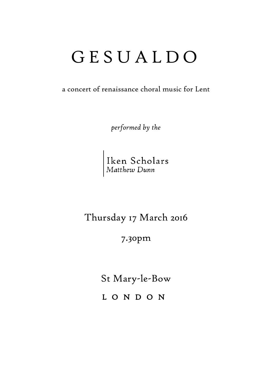## G E S U A L D O

a concert of renaissance choral music for Lent

*performed by the*

Iken Scholars<br>Matthew Dunn

Thursday 17 March 2016

7.30pm

St Mary-le-Bow

L O N D O N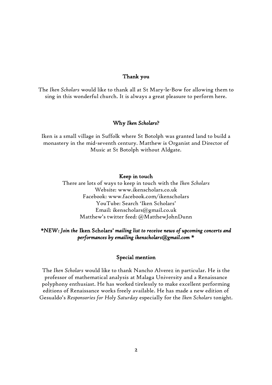#### Thank you

The *Iken Scholars* would like to thank all at St Mary-le-Bow for allowing them to sing in this wonderful church. It is always a great pleasure to perform here.

#### Why *Iken Scholars*?

Iken is a small village in Suffolk where St Botolph was granted land to build a monastery in the mid-seventh century. Matthew is Organist and Director of Music at St Botolph without Aldgate.

#### Keep in touch

There are lots of ways to keep in touch with the *Iken Scholars* Website: www.ikenscholars.co.uk Facebook: www.facebook.com/ikenscholars YouTube: Search 'Iken Scholars' Email: ikenscholars@gmail.co.uk Matthew's twitter feed: @MatthewJohnDunn

#### *\*NEW: Join the* Iken Scholars' *mailing list to receive news of upcoming concerts and performances by emailing ikenscholars@gmail.com \**

#### Special mention

The *Iken Scholars* would like to thank Nancho Alverez in particular. He is the professor of mathematical analysis at Malaga University and a Renaissance polyphony enthusiast. He has worked tirelessly to make excellent performing editions of Renaissance works freely available. He has made a new edition of Gesualdo's *Responsories for Holy Saturday* especially for the *Iken Scholars* tonight.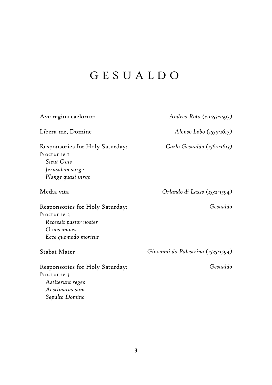## G E S U A L D O

| Ave regina caelorum                                                                                              | Andrea Rota (c.1553-1597)          |
|------------------------------------------------------------------------------------------------------------------|------------------------------------|
| Libera me, Domine                                                                                                | Alonso Lobo $(1555 - 1617)$        |
| Responsories for Holy Saturday:<br>Nocturne 1<br>Sicut Ovis<br>Jerusalem surge<br>Plange quasi virgo             | Carlo Gesualdo (1560-1613)         |
| Media vita                                                                                                       | Orlando di Lasso (1532-1594)       |
| Responsories for Holy Saturday:<br>Nocturne 2<br>Recessit pastor noster<br>$O$ vos omnes<br>Ecce quomodo moritur | Gesualdo                           |
| Stabat Mater                                                                                                     | Giovanni da Palestrina (1525-1594) |
| Responsories for Holy Saturday:<br>Nocturne 3<br>Astiterunt reges<br>Aestimatus sum<br>Sepulto Domino            | Gesualdo                           |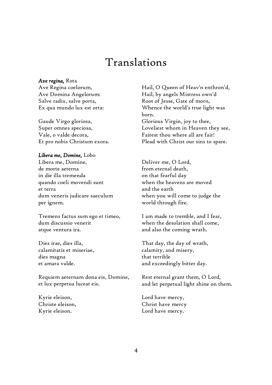### Translations

#### *Ave regina,* Rota

Ave Regina coelorum, Ave Domina Angelorum: Salve radix, salve porta, Ex qua mundo lux est orta:

Gaude Virgo gloriosa, Super omnes speciosa, Vale, o valde decora, Et pro nobis Christum exora.

#### *Libera me, Domine,* Lobo

Libera me, Domine, de morte aeterna in die illa tremenda quando coeli movendi sunt et terra dum veneris judicare saeculum per ignem.

Tremens factus sum ego et timeo, dum discussio venerit atque ventura ira.

Dies irae, dies illa, calamitatis et miseriae, dies magna et amara valde.

Requiem aeternam dona eis, Domine, et lux perpetua luceat eis.

Kyrie eleison, Christe eleison, Kyrie eleison.

Hail, O Queen of Heav'n enthron'd, Hail, by angels Mistress own'd Root of Jesse, Gate of morn, Whence the world's true light was born. Glorious Virgin, joy to thee, Loveliest whom in Heaven they see, Fairest thou where all are fair! Plead with Christ our sins to spare.

Deliver me, O Lord, from eternal death, on that fearful day when the heavens are moved and the earth when you will come to judge the world through fire.

I am made to tremble, and I fear, when the desolation shall come, and also the coming wrath.

That day, the day of wrath, calamity, and misery, that terrible and exceedingly bitter day.

Rest eternal grant them, O Lord, and let perpetual light shine on them.

Lord have mercy, Christ have mercy Lord have mercy.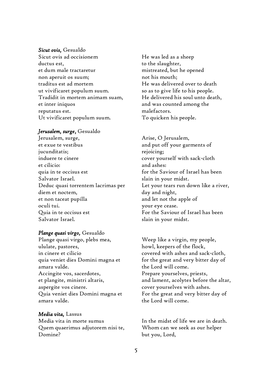#### *Sicut ovis,* Gesualdo

Sicut ovis ad occisionem ductus est, et dum male tractaretur non aperuit os suum; traditus est ad mortem ut vivificaret populum suum. Tradidit in mortem animam suam, et inter iniquos reputatus est. Ut vivificaret populum suum.

#### *Jerusalem, surge*, Gesualdo

Jerusalem, surge, et exue te vestibus jucunditatis; induere te cinere et cilicio: quia in te occisus est Salvator Israel. Deduc quasi torrentem lacrimas per diem et noctem, et non taceat pupilla oculi tui. Quia in te occisus est Salvator Israel.

#### *Plange quasi virgo,* Gesualdo

Plange quasi virgo, plebs mea, ululate, pastores, in cinere et cilicio quia veniet dies Domini magna et amara valde. Accingite vos, sacerdotes, et plangite, ministri altaris, aspergite vos cinere. Quia veniet dies Domini magna et amara valde.

#### *Media vita,* Lassus

Media vita in morte sumus Quem quaerimus adjutorem nisi te, Domine?

He was led as a sheep to the slaughter, mistreated, but he opened not his mouth; He was delivered over to death so as to give life to his people. He delivered his soul unto death, and was counted among the malefactors. To quicken his people.

Arise, O Jerusalem, and put off your garments of rejoicing; cover yourself with sack-cloth and ashes: for the Saviour of Israel has been slain in your midst. Let your tears run down like a river, day and night, and let not the apple of your eye cease. For the Saviour of Israel has been slain in your midst.

Weep like a virgin, my people, howl, keepers of the flock, covered with ashes and sack-cloth, for the great and very bitter day of the Lord will come. Prepare yourselves, priests, and lament, acolytes before the altar, cover yourselves with ashes. For the great and very bitter day of the Lord will come.

In the midst of life we are in death. Whom can we seek as our helper but you, Lord,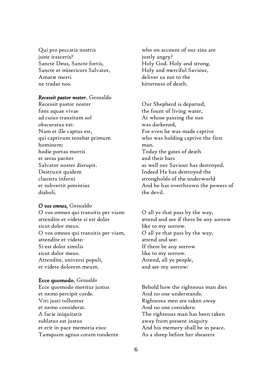Qui pro peccatis nostris juste irasceris? Sancte Deus, Sancte fortis, Sancte et misericors Salvator, Amaræ morti ne tradas nos.

#### *Recessit pastor noster*, Gesualdo

Recessit pastor noster fons aquae vivae ad cuius transitum sol obscuratus est: Nam et ille captus est, qui captivum tenebat primum hominem: hodie portas mortis et seras pariter Salvator noster disrupit. Destruxit quidem claustra inferni et subvertit potentias diaboli.

#### *O vos omnes,* Gesualdo

O vos omnes qui transitis per viam: attendite et videte si est dolor sicut dolor meus. O vos omnes qui transitis per viam, attendite et videte: Si est dolor similis sicut dolor meus. Attendite, universi populi, et videte dolorem meum.

#### Ecce quomodo, *Gesualdo*

Ecce quomodo moritur justus et nemo percipit corde. Viri justi tolluntur et nemo considerat. A facie iniquitatis sublatus est justus et erit in pace memoria eius: Tamquam agnus coram tondente

who on account of our sins are justly angry? Holy God. Holy and strong. Holy and merciful Saviour, deliver us not to the bitterness of death.

Our Shepherd is departed, the fount of living water, At whose passing the sun was darkened, For even he was made captive who was holding captive the first man. Today the gates of death and their bars as well our Saviour has destroyed. Indeed He has destroyed the strongholds of the underworld And he has overthrown the powers of the devil.

O all ye that pass by the way, attend and see if there be any sorrow like to my sorrow. O all ye that pass by the way, attend and see: If there be any sorrow like to my sorrow. Attend, all ye people, and see my sorrow:

Behold how the righteous man dies And no one understands. Righteous men are taken away And no one considers: The righteous man has been taken away from present iniquity And his memory shall be in peace. As a sheep before her shearers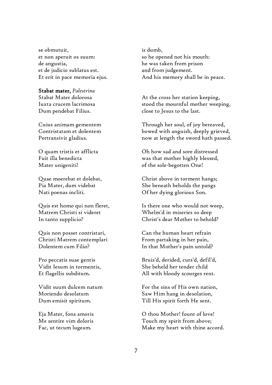se obmutuit, et non aperuit os suum: de angustia, et de judicio sublatus est. Et erit in pace memoria ejus.

Stabat mater, *Palestrina* Stabat Mater dolorosa Iuxta crucem lacrimosa Dum pendebat Filius.

Cuius animam gementem Contristatam et dolentem Pertransivit gladius.

O quam tristis et afflicta Fuit illa benedicta Mater unigeniti!

Quae moerebat et dolebat, Pia Mater, dum videbat Nati poenas incliti.

Quis est homo qui non fleret, Matrem Christi si videret In tanto supplicio?

Quis non posset contristari, Christi Matrem contemplari Dolentem cum Filio?

Pro peccatis suae gentis Vidit Iesum in tormentis, Et flagellis subditum.

Vidit suum dulcem natum Moriendo desolatum Dum emisit spiritum.

Eja Mater, fons amoris Me sentire vim doloris Fac, ut tecum lugeam.

is dumb, so he opened not his mouth: he was taken from prison and from judgement. And his memory shall be in peace.

At the cross her station keeping, stood the mournful mother weeping, close to Jesus to the last.

Through her soul, of joy bereaved, bowed with anguish, deeply grieved, now at length the sword hath passed.

Oh how sad and sore distressed was that mother highly blessed, of the sole-begotten One!

Christ above in torment hangs; She beneath beholds the pangs Of her dying glorious Son.

Is there one who would not weep, Whelm'd in miseries so deep Christ's dear Mother to behold?

Can the human heart refrain From partaking in her pain, In that Mother's pain untold?

Bruis'd, derided, curs'd, defil'd, She beheld her tender child All with bloody scourges rent.

For the sins of His own nation, Saw Him hang in desolation, Till His spirit forth He sent.

O thou Mother! fount of love! Touch my spirit from above; Make my heart with thine accord.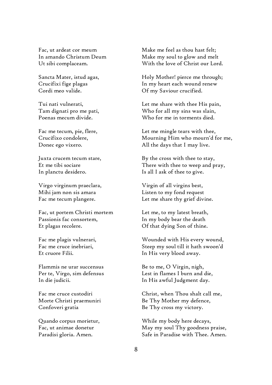Fac, ut ardeat cor meum In amando Christum Deum Ut sibi complaceam.

Sancta Mater, istud agas, Crucifixi fige plagas Cordi meo valide.

Tui nati vulnerati, Tam dignati pro me pati, Poenas mecum divide.

Fac me tecum, pie, flere, Crucifixo condolere, Donec ego vixero.

Juxta crucem tecum stare, Et me tibi sociare In planctu desidero.

Virgo virginum praeclara, Mihi jam non sis amara Fac me tecum plangere.

Fac, ut portem Christi mortem Passionis fac consortem, Et plagas recolere.

Fac me plagis vulnerari, Fac me cruce inebriari, Et cruore Filii.

Flammis ne urar succensus Per te, Virgo, sim defensus In die judicii.

Fac me cruce custodiri Morte Christi praemuniri Confoveri gratia

Quando corpus morietur, Fac, ut animae donetur Paradisi gloria. Amen.

Make me feel as thou hast felt; Make my soul to glow and melt With the love of Christ our Lord.

Holy Mother! pierce me through; In my heart each wound renew Of my Saviour crucified.

Let me share with thee His pain, Who for all my sins was slain, Who for me in torments died.

Let me mingle tears with thee, Mourning Him who mourn'd for me, All the days that I may live.

By the cross with thee to stay, There with thee to weep and pray, Is all I ask of thee to give.

Virgin of all virgins best, Listen to my fond request Let me share thy grief divine.

Let me, to my latest breath, In my body bear the death Of that dying Son of thine.

Wounded with His every wound, Steep my soul till it hath swoon'd In His very blood away.

Be to me, O Virgin, nigh, Lest in flames I burn and die, In His awful Judgment day.

Christ, when Thou shalt call me, Be Thy Mother my defence, Be Thy cross my victory.

While my body here decays, May my soul Thy goodness praise, Safe in Paradise with Thee. Amen.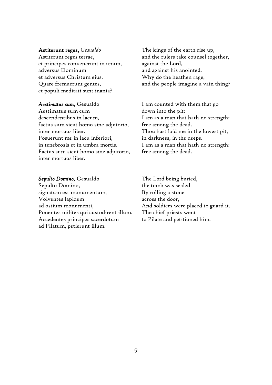#### Astiterunt reges, *Gesualdo*

Astiterunt reges terrae, et principes convenerunt in unum, adversus Dominum et adversus Christum eius. Quare fremuerunt gentes, et populi meditati sunt inania?

*Aestimatus sum,* Gesualdo Aestimatus sum cum descendentibus in lacum, factus sum sicut homo sine adjutorio, inter mortuos liber. Posuerunt me in lacu inferiori, in tenebrosis et in umbra mortis. Factus sum sicut homo sine adjutorio, inter mortuos liber.

*Sepulto Domino,* Gesualdo Sepulto Domino, signatum est monumentum, Volventes lapidem ad ostium monumenti, Ponentes milites qui custodirent illum. Accedentes principes sacerdotum ad Pilatum, petierunt illum.

The kings of the earth rise up, and the rulers take counsel together, against the Lord, and against his anointed. Why do the heathen rage, and the people imagine a vain thing?

I am counted with them that go down into the pit: I am as a man that hath no strength: free among the dead. Thou hast laid me in the lowest pit, in darkness, in the deeps. I am as a man that hath no strength: free among the dead.

The Lord being buried, the tomb was sealed By rolling a stone across the door, And soldiers were placed to guard it. The chief priests went to Pilate and petitioned him.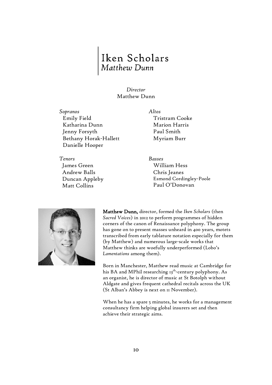# Iken Scholars<br>Matthew Dunn

#### *Director* Matthew Dunn

*Sopranos Altos* Emily Field Katharina Dunn Jenny Forsyth Bethany Horak-Hallett Danielle Hooper

*Tenors Basses* James Green Andrew Balls Duncan Appleby Matt Collins

Tristram Cooke Marion Harris Paul Smith Myriam Burr

William Hess Chris Jeanes Esmond Cordingley-Poole Paul O'Donovan



Matthew Dunn, director, formed the *Iken Scholars* (then *Sacred Voices*) in 2012 to perform programmes of hidden corners of the canon of Renaissance polyphony. The group has gone on to present masses unheard in 400 years, motets transcribed from early tablature notation especially for them (by Matthew) and numerous large-scale works that Matthew thinks are woefully underperformed (Lobo's *Lamentations* among them).

Born in Manchester, Matthew read music at Cambridge for his BA and MPhil researching 13<sup>th</sup>-century polyphony. As an organist, he is director of music at St Botolph without Aldgate and gives frequent cathedral recitals across the UK (St Alban's Abbey is next on 11 November).

When he has a spare 5 minutes, he works for a management consultancy firm helping global insurers set and then achieve their strategic aims.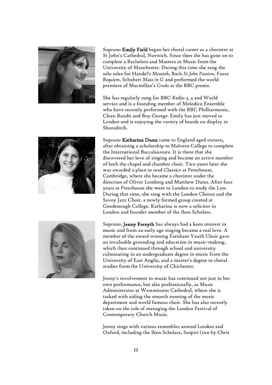

Soprano Emily Field began her choral career as a chorister at St John's Cathedral, Norwich. Since then she has gone on to complete a Bachelors and Masters in Music from the University of Manchester. During this time she sang the solo roles for Handel's *Messiah*, Bach *St John Passion*, Faure *Requiem*, Schubert *Mass in G* and performed the world premiere of Macmillan's *Credo* at the BBC proms.

She has regularly sung for BBC Radio 3, 4 and World service and is a founding member of Melodico Ensemble who have recently performed with the BBC Philharmonic, Clean Bandit and Boy George. Emily has just moved to London and is enjoying the variety of beards on display in Shoreditch.



Soprano Katharina Dunn came to England aged sixteen, after obtaining a scholarship to Malvern College to complete the International Baccalaureate. It is there that she discovered her love of singing and became an active member of both the chapel and chamber choir. Two years later she was awarded a place to read Classics at Peterhouse, Cambridge, where she became a chorister under the direction of Oliver Lomberg and Matthew Dunn. After four years at Peterhouse she went to London to study the Law. During that time, she sang with the London Chorus and the Savoy Jazz Choir, a newly formed group created at Goodenough College. Katharina is now a solicitor in London and founder member of the Iken Scholars.



 Soprano, Jenny Forsyth has always had a keen interest in music and from an early age singing became a real love. A member of the award winning Farnham Youth Choir gave an invaluable grounding and education in music-making, which then continued through school and university culminating in an undergraduate degree in music from the University of East Anglia, and a master's degree in choral studies from the University of Chichester.

Jenny's involvement in music has continued not just in her own performance, but also professionally, as Music Administrator at Westminster Cathedral, where she is tasked with aiding the smooth running of the music department and world famous choir. She has also recently taken on the role of managing the London Festival of Contemporary Church Music.

Jenny sings with various ensembles around London and Oxford, including the Iken Scholars, Sospiri (run by Chris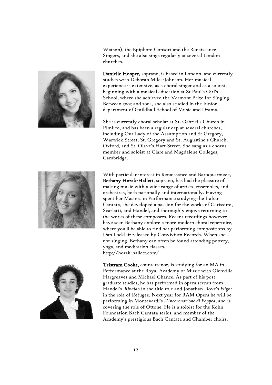

Watson), the Epiphoni Consort and the Renaissance Singers, and she also sings regularly at several London churches.

Danielle Hooper, soprano, is based in London, and currently studies with Deborah Miles-Johnson. Her musical experience is extensive, as a choral singer and as a soloist, beginning with a musical education at St Paul's Girl's School, where she achieved the Vermont Prize for Singing. Between 2002 and 2004, she also studied in the Junior department of Guildhall School of Music and Drama.

She is currently choral scholar at St. Gabriel's Church in Pimlico, and has been a regular dep at several churches, including Our Lady of the Assumption and St Gregory, Warwick Street, St. Gregory and St. Augustine's Church, Oxford, and St. Olave's Hart Street. She sang as a chorus member and soloist at Clare and Magdalene Colleges, Cambridge.



With particular interest in Renaissance and Baroque music, Bethany Horak-Hallett, soprano, has had the pleasure of making music with a wide range of artists, ensembles, and orchestras, both nationally and internationally. Having spent her Masters in Performance studying the Italian Cantata, she developed a passion for the works of Carissimi, Scarlatti, and Handel, and thoroughly enjoys returning to the works of these composers. Recent recordings however have seen Bethany explore a more modern choral repertoire, where you'll be able to find her performing compositions by Dan Locklair released by Convivium Records. When she's not singing, Bethany can often be found attending pottery, yoga, and meditation classes. http://horak-hallett.com/



Tristram Cooke, countertenor, is studying for an MA in Performance at the Royal Academy of Music with Glenville Hargreaves and Michael Chance. As part of his postgraduate studies, he has performed in opera scenes from Handel's *Rinaldo* in the title role and Jonathan Dove's *Flight* in the role of Refugee. Next year for RAM Opera he will be performing in Monteverdi's *L'Incoronazione di Poppea*, and is covering the role of Ottone. He is a soloist for the Kohn Foundation Bach Cantata series, and member of the Academy's prestigious Bach Cantata and Chamber choirs.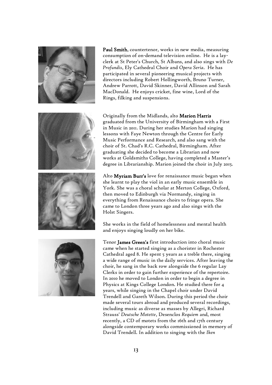



Paul Smith, countertenor, works in new media, measuring consumption of on-demand television online. He is a layclerk at St Peter's Church, St Albans, and also sings with *De Profundis*, Ely Cathedral Choir and *Opera Seria*. He has participated in several pioneering musical projects with directors including Robert Hollingworth, Bruno Turner, Andrew Parrott, David Skinner, David Allinson and Sarah MacDonald. He enjoys cricket, fine wine, Lord of the Rings, filking and suspensions.

Originally from the Midlands, alto Marion Harris graduated from the University of Birmingham with a First in Music in 2011. During her studies Marion had singing lessons with Faye Newton through the Centre for Early Music Performance and Research, and also sang with the choir of St. Chad's R.C. Cathedral, Birmingham. After graduating she decided to become a Librarian and now works at Goldsmiths College, having completed a Master's degree in Librarianship. Marion joined the choir in July 2015.

Alto Myriam Burr's love for renaissance music began when she learnt to play the viol in an early music ensemble in York. She was a choral scholar at Merton College, Oxford, then moved to Edinburgh via Normandy, singing in everything from Renaissance choirs to fringe opera. She came to London three years ago and also sings with the Holst Singers.

She works in the field of homelessness and mental health and enjoys singing loudly on her bike.

Tenor James Green's first introduction into choral music came when he started singing as a chorister in Rochester Cathedral aged 8. He spent 5 years as a treble there, singing a wide range of music in the daily services. After leaving the choir, he sang in the back row alongside the 6 regular Lay Clerks in order to gain further experience of the repertoire. In 2010 he moved to London in order to begin a degree in Physics at Kings College London. He studied there for 4 years, while singing in the Chapel choir under David Trendell and Gareth Wilson. During this period the choir made several tours abroad and produced several recordings, including music as diverse as masses by Allegri, Richard Strauss' *Deutsche Motette*, Desenclos *Requiem* and, most recently, a CD of motets from the 16th and 17th century alongside contemporary works commissioned in memory of David Trendell. In addition to singing with the *Iken*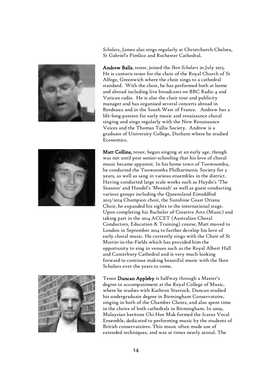

*Scholars*, James also sings regularly at Christchurch Chelsea, St Gabriel's Pimlico and Rochester Cathedral.

Andrew Balls, tenor, joined the *Iken Scholars* in July 2015. He is cantoris tenor for the choir of the Royal Church of St Alfege, Greenwich where the choir sings to a cathedral standard. With the choir, he has performed both at home and abroad including live broadcasts on BBC Radio 4 and Vatican radio. He is also the choir tour and publicity manager and has organised several concerts abroad in Bordeaux and in the South West of France. Andrew has a life-long passion for early music and renaissance choral singing and sings regularly with the New Renaissance Voices and the Thomas Tallis Society. Andrew is a graduate of University College, Durham where he studied Economics.



Matt Collins, tenor, began singing at an early age, though was not until post senior-schooling that his love of choral music became apparent. In his home town of Toowoomba, he conducted the Toowoomba Philharmonic Society for 3 years, as well as sang in various ensembles in the district. Having conducted large scale works such as Haydn's 'The Seasons' and Handel's 'Messiah' as well as guest conducting various groups including the Queensland Eisteddfod 2013/2014 Champion choir, the Sunshine Coast Oriana Choir, he expanded his sights to the international stage. Upon completing his Bachelor of Creative Arts (Music) and taking part in the 2014 ACCET (Australian Choral Conductors, Education & Training) course, Matt moved to London in September 2014 to further develop his love of early choral music. He currently sings with the Choir of St Martin-in-the-Fields which has provided him the opportunity to sing in venues such as the Royal Albert Hall and Canterbury Cathedral and is very much looking forward to continue making beautiful music with the Iken Scholars over the years to come.



Tenor Duncan Appleby is halfway through a Master's degree in accompaniment at the Royal College of Music, where he studies with Kathron Sturrock. Duncan studied his undergraduate degree in Birmingham Conservatoire, singing in both of the Chamber Choirs, and also spent time in the choirs of both cathedrals in Birmingham. In 2009, Malaysian baritone Chi Hoe Mak formed the Icarus Vocal Ensemble, dedicated to performing music by the students of British conservatoires. This music often made use of extended techniques, and was at times nearly atonal. The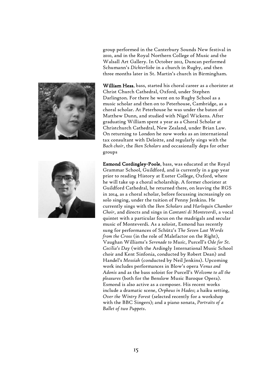

group performed in the Canterbury Sounds New festival in 2010, and in the Royal Northern College of Music and the Walsall Art Gallery. In October 2012, Duncan performed Schumann's *Dichterliebe* in a church in Rugby, and then three months later in St. Martin's church in Birmingham.

William Hess, bass, started his choral career as a chorister at Christ Church Cathedral, Oxford, under Stephen Darlington. For there he went on to Rugby School as a music scholar and then on to Peterhouse, Cambridge, as a choral scholar. At Peterhouse he was under the baton of Matthew Dunn, and studied with Nigel Wickens. After graduating William spent a year as a Choral Scholar at Christchurch Cathedral, New Zealand, under Brian Law. On returning to London he now works as an international tax consultant with Deloitte, and regularly sings with the *Bach choir*, the *Iken Scholars* and occasionally deps for other groups

Esmond Cordingley-Poole, bass, was educated at the Royal Grammar School, Guildford, and is currently in a gap year prior to reading History at Exeter College, Oxford, where he will take up a choral scholarship. A former chorister at Guildford Cathedral, he returned there, on leaving the RGS in 2014, as a choral scholar, before focussing increasingly on solo singing, under the tuition of Penny Jenkins. He currently sings with the *Iken Scholars* and *Harlequin Chamber Choir*, and directs and sings in *Cantanti di Monteverdi*, a vocal quintet with a particular focus on the madrigals and secular music of Monteverdi. As a soloist, Esmond has recently sung for performances of Schütz's *The Seven Last Words from the Cross* (in the role of Malefactor on the Right), Vaughan Williams's *Serenade to Music*, Purcell's *Ode for St. Cecilia's Day* (with the Ardingly International Music School choir and Kent Sinfonia, conducted by Robert Dean) and Handel's *Messiah* (conducted by Neil Jenkins). Upcoming work includes performances in Blow's opera *Venus and Adonis* and as the bass soloist for Purcell's *Welcome to all the pleasures* (both for the Benslow Music Baroque Opera). Esmond is also active as a composer. His recent works include a dramatic scene, *Orpheus in Hades*; a haiku setting, *Over the Wintry Forest* (selected recently for a workshop with the BBC Singers); and a piano sonata, *Portraits of a Ballet of two Puppets*.